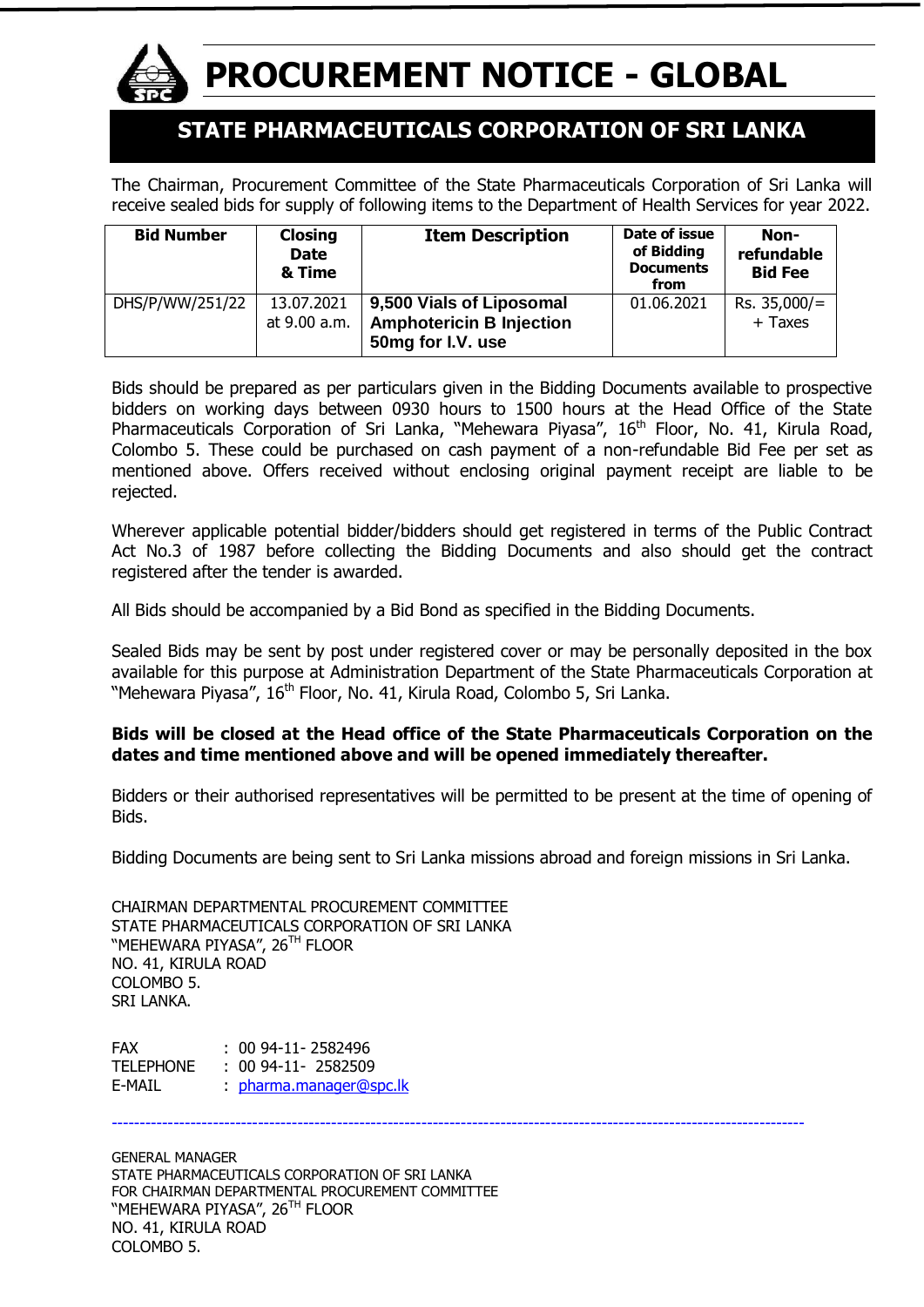

**PROCUREMENT NOTICE - GLOBAL**

# **STATE PHARMACEUTICALS CORPORATION OF SRI LANKA**

The Chairman, Procurement Committee of the State Pharmaceuticals Corporation of Sri Lanka will receive sealed bids for supply of following items to the Department of Health Services for year 2022.

| <b>Bid Number</b> | <b>Closing</b><br><b>Date</b><br>& Time | <b>Item Description</b>                                                          | Date of issue<br>of Bidding<br><b>Documents</b><br>from | Non-<br>refundable<br><b>Bid Fee</b> |
|-------------------|-----------------------------------------|----------------------------------------------------------------------------------|---------------------------------------------------------|--------------------------------------|
| DHS/P/WW/251/22   | 13.07.2021<br>at 9.00 a.m.              | 9,500 Vials of Liposomal<br><b>Amphotericin B Injection</b><br>50mg for I.V. use | 01.06.2021                                              | $Rs. 35,000/=$<br>+ Taxes            |

Bids should be prepared as per particulars given in the Bidding Documents available to prospective bidders on working days between 0930 hours to 1500 hours at the Head Office of the State Pharmaceuticals Corporation of Sri Lanka, "Mehewara Piyasa", 16<sup>th</sup> Floor, No. 41, Kirula Road, Colombo 5. These could be purchased on cash payment of a non-refundable Bid Fee per set as mentioned above. Offers received without enclosing original payment receipt are liable to be rejected.

Wherever applicable potential bidder/bidders should get registered in terms of the Public Contract Act No.3 of 1987 before collecting the Bidding Documents and also should get the contract registered after the tender is awarded.

All Bids should be accompanied by a Bid Bond as specified in the Bidding Documents.

Sealed Bids may be sent by post under registered cover or may be personally deposited in the box available for this purpose at Administration Department of the State Pharmaceuticals Corporation at "Mehewara Piyasa", 16<sup>th</sup> Floor, No. 41, Kirula Road, Colombo 5, Sri Lanka.

# **Bids will be closed at the Head office of the State Pharmaceuticals Corporation on the dates and time mentioned above and will be opened immediately thereafter.**

Bidders or their authorised representatives will be permitted to be present at the time of opening of Bids.

Bidding Documents are being sent to Sri Lanka missions abroad and foreign missions in Sri Lanka.

---------------------------------------------------------------------------------------------------------------------------

CHAIRMAN DEPARTMENTAL PROCUREMENT COMMITTEE STATE PHARMACEUTICALS CORPORATION OF SRI LANKA "MEHEWARA PIYASA", 26<sup>th</sup> Floor NO. 41, KIRULA ROAD COLOMBO 5. SRI LANKA.

FAX : 00 94-11- 2582496 TELEPHONE : 00 94-11- 2582509 E-MAIL [pharma.manager@spc.lk](mailto:pharma.manager@spc.lk)

GENERAL MANAGER STATE PHARMACEUTICALS CORPORATION OF SRI LANKA FOR CHAIRMAN DEPARTMENTAL PROCUREMENT COMMITTEE "MEHEWARA PIYASA", 26<sup>th</sup> Floor NO. 41, KIRULA ROAD COLOMBO 5.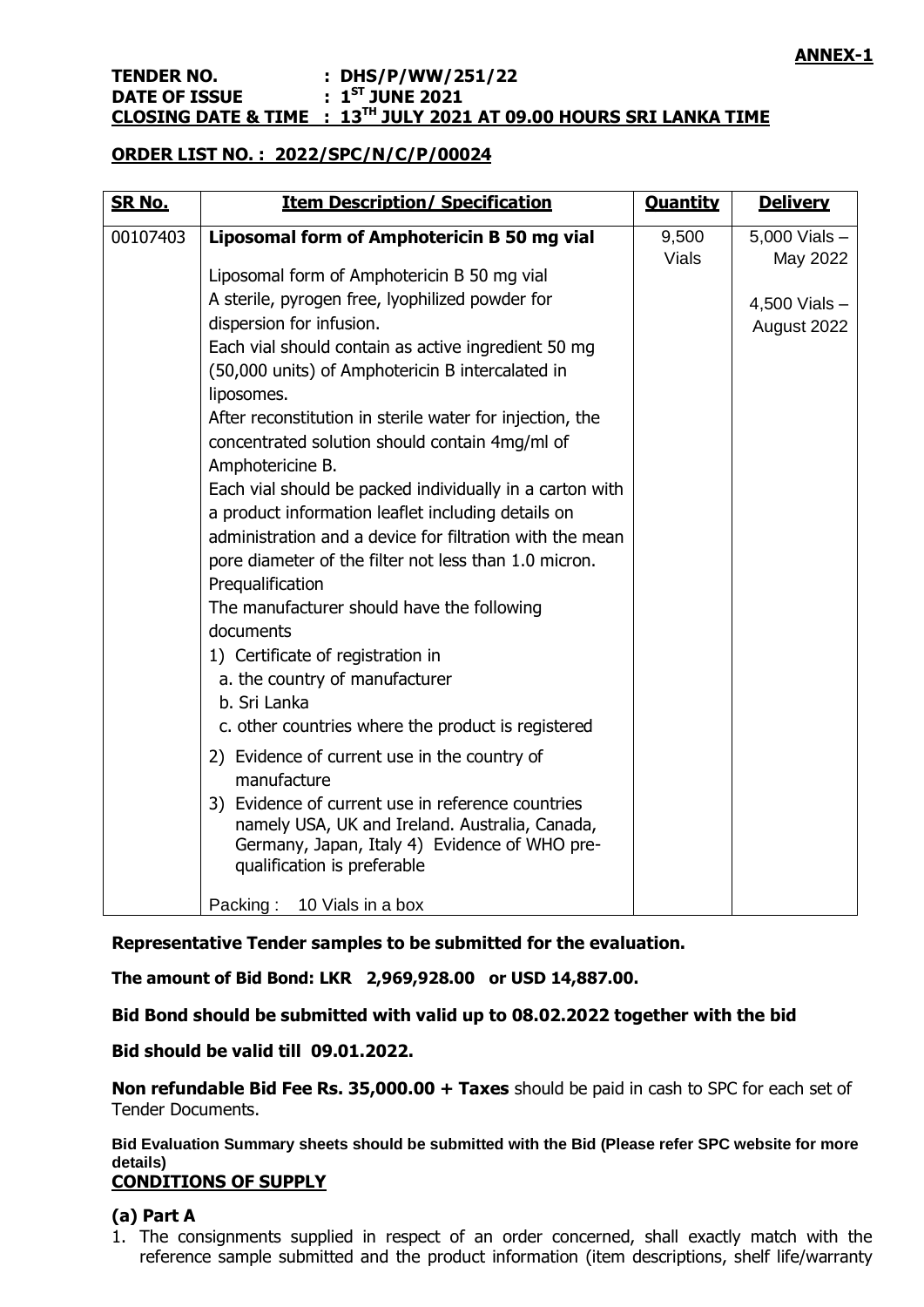#### **TENDER NO. : DHS/P/WW/251/22 DATE OF ISSUE**  $: 1^{57}$  **JUNE 2021 CLOSING DATE & TIME : 13TH JULY 2021 AT 09.00 HOURS SRI LANKA TIME**

# **ORDER LIST NO. : 2022/SPC/N/C/P/00024**

| <b>SR No.</b> | <b>Item Description/ Specification</b>                                                                                                                                              | <b>Quantity</b> | <b>Delivery</b>   |
|---------------|-------------------------------------------------------------------------------------------------------------------------------------------------------------------------------------|-----------------|-------------------|
| 00107403      | Liposomal form of Amphotericin B 50 mg vial                                                                                                                                         | 9,500           | $5,000$ Vials $-$ |
|               | Liposomal form of Amphotericin B 50 mg vial                                                                                                                                         | <b>Vials</b>    | May 2022          |
|               | A sterile, pyrogen free, lyophilized powder for                                                                                                                                     |                 | $4,500$ Vials $-$ |
|               | dispersion for infusion.                                                                                                                                                            |                 | August 2022       |
|               | Each vial should contain as active ingredient 50 mg                                                                                                                                 |                 |                   |
|               | (50,000 units) of Amphotericin B intercalated in<br>liposomes.                                                                                                                      |                 |                   |
|               | After reconstitution in sterile water for injection, the                                                                                                                            |                 |                   |
|               | concentrated solution should contain 4mg/ml of                                                                                                                                      |                 |                   |
|               | Amphotericine B.                                                                                                                                                                    |                 |                   |
|               | Each vial should be packed individually in a carton with                                                                                                                            |                 |                   |
|               | a product information leaflet including details on                                                                                                                                  |                 |                   |
|               | administration and a device for filtration with the mean                                                                                                                            |                 |                   |
|               | pore diameter of the filter not less than 1.0 micron.<br>Prequalification                                                                                                           |                 |                   |
|               | The manufacturer should have the following                                                                                                                                          |                 |                   |
|               | documents                                                                                                                                                                           |                 |                   |
|               | 1) Certificate of registration in                                                                                                                                                   |                 |                   |
|               | a. the country of manufacturer                                                                                                                                                      |                 |                   |
|               | b. Sri Lanka                                                                                                                                                                        |                 |                   |
|               | c. other countries where the product is registered                                                                                                                                  |                 |                   |
|               | 2) Evidence of current use in the country of<br>manufacture                                                                                                                         |                 |                   |
|               | 3) Evidence of current use in reference countries<br>namely USA, UK and Ireland. Australia, Canada,<br>Germany, Japan, Italy 4) Evidence of WHO pre-<br>qualification is preferable |                 |                   |
|               | Packing: 10 Vials in a box                                                                                                                                                          |                 |                   |

# **Representative Tender samples to be submitted for the evaluation.**

**The amount of Bid Bond: LKR 2,969,928.00 or USD 14,887.00.**

# **Bid Bond should be submitted with valid up to 08.02.2022 together with the bid**

#### **Bid should be valid till 09.01.2022.**

**Non refundable Bid Fee Rs. 35,000.00 + Taxes** should be paid in cash to SPC for each set of Tender Documents.

**Bid Evaluation Summary sheets should be submitted with the Bid (Please refer SPC website for more details)**

#### **CONDITIONS OF SUPPLY**

#### **(a) Part A**

1. The consignments supplied in respect of an order concerned, shall exactly match with the reference sample submitted and the product information (item descriptions, shelf life/warranty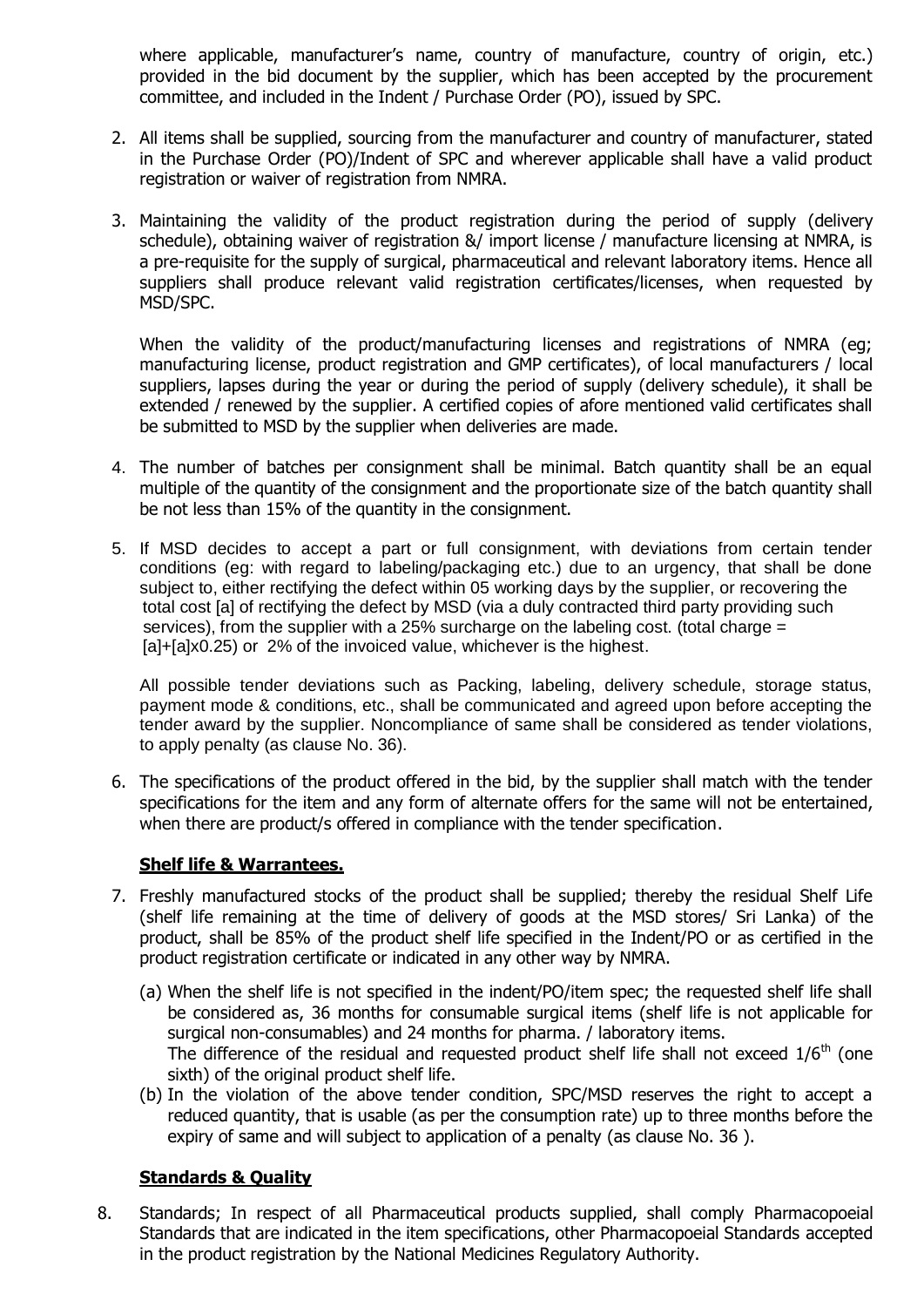where applicable, manufacturer's name, country of manufacture, country of origin, etc.) provided in the bid document by the supplier, which has been accepted by the procurement committee, and included in the Indent / Purchase Order (PO), issued by SPC.

- 2. All items shall be supplied, sourcing from the manufacturer and country of manufacturer, stated in the Purchase Order (PO)/Indent of SPC and wherever applicable shall have a valid product registration or waiver of registration from NMRA.
- 3. Maintaining the validity of the product registration during the period of supply (delivery schedule), obtaining waiver of registration &/ import license / manufacture licensing at NMRA, is a pre-requisite for the supply of surgical, pharmaceutical and relevant laboratory items. Hence all suppliers shall produce relevant valid registration certificates/licenses, when requested by MSD/SPC.

When the validity of the product/manufacturing licenses and registrations of NMRA (eg; manufacturing license, product registration and GMP certificates), of local manufacturers / local suppliers, lapses during the year or during the period of supply (delivery schedule), it shall be extended / renewed by the supplier. A certified copies of afore mentioned valid certificates shall be submitted to MSD by the supplier when deliveries are made.

- 4. The number of batches per consignment shall be minimal. Batch quantity shall be an equal multiple of the quantity of the consignment and the proportionate size of the batch quantity shall be not less than 15% of the quantity in the consignment.
- 5. If MSD decides to accept a part or full consignment, with deviations from certain tender conditions (eg: with regard to labeling/packaging etc.) due to an urgency, that shall be done subject to, either rectifying the defect within 05 working days by the supplier, or recovering the total cost [a] of rectifying the defect by MSD (via a duly contracted third party providing such services), from the supplier with a 25% surcharge on the labeling cost. (total charge = [a]+[a]x0.25) or 2% of the invoiced value, whichever is the highest.

All possible tender deviations such as Packing, labeling, delivery schedule, storage status, payment mode & conditions, etc., shall be communicated and agreed upon before accepting the tender award by the supplier. Noncompliance of same shall be considered as tender violations, to apply penalty (as clause No. 36).

6. The specifications of the product offered in the bid, by the supplier shall match with the tender specifications for the item and any form of alternate offers for the same will not be entertained, when there are product/s offered in compliance with the tender specification.

# **Shelf life & Warrantees.**

- 7. Freshly manufactured stocks of the product shall be supplied; thereby the residual Shelf Life (shelf life remaining at the time of delivery of goods at the MSD stores/ Sri Lanka) of the product, shall be 85% of the product shelf life specified in the Indent/PO or as certified in the product registration certificate or indicated in any other way by NMRA.
	- (a) When the shelf life is not specified in the indent/PO/item spec; the requested shelf life shall be considered as, 36 months for consumable surgical items (shelf life is not applicable for surgical non-consumables) and 24 months for pharma. / laboratory items. The difference of the residual and requested product shelf life shall not exceed  $1/6<sup>th</sup>$  (one sixth) of the original product shelf life.
	- (b) In the violation of the above tender condition, SPC/MSD reserves the right to accept a reduced quantity, that is usable (as per the consumption rate) up to three months before the expiry of same and will subject to application of a penalty (as clause No. 36 ).

# **Standards & Quality**

8. Standards; In respect of all Pharmaceutical products supplied, shall comply Pharmacopoeial Standards that are indicated in the item specifications, other Pharmacopoeial Standards accepted in the product registration by the National Medicines Regulatory Authority.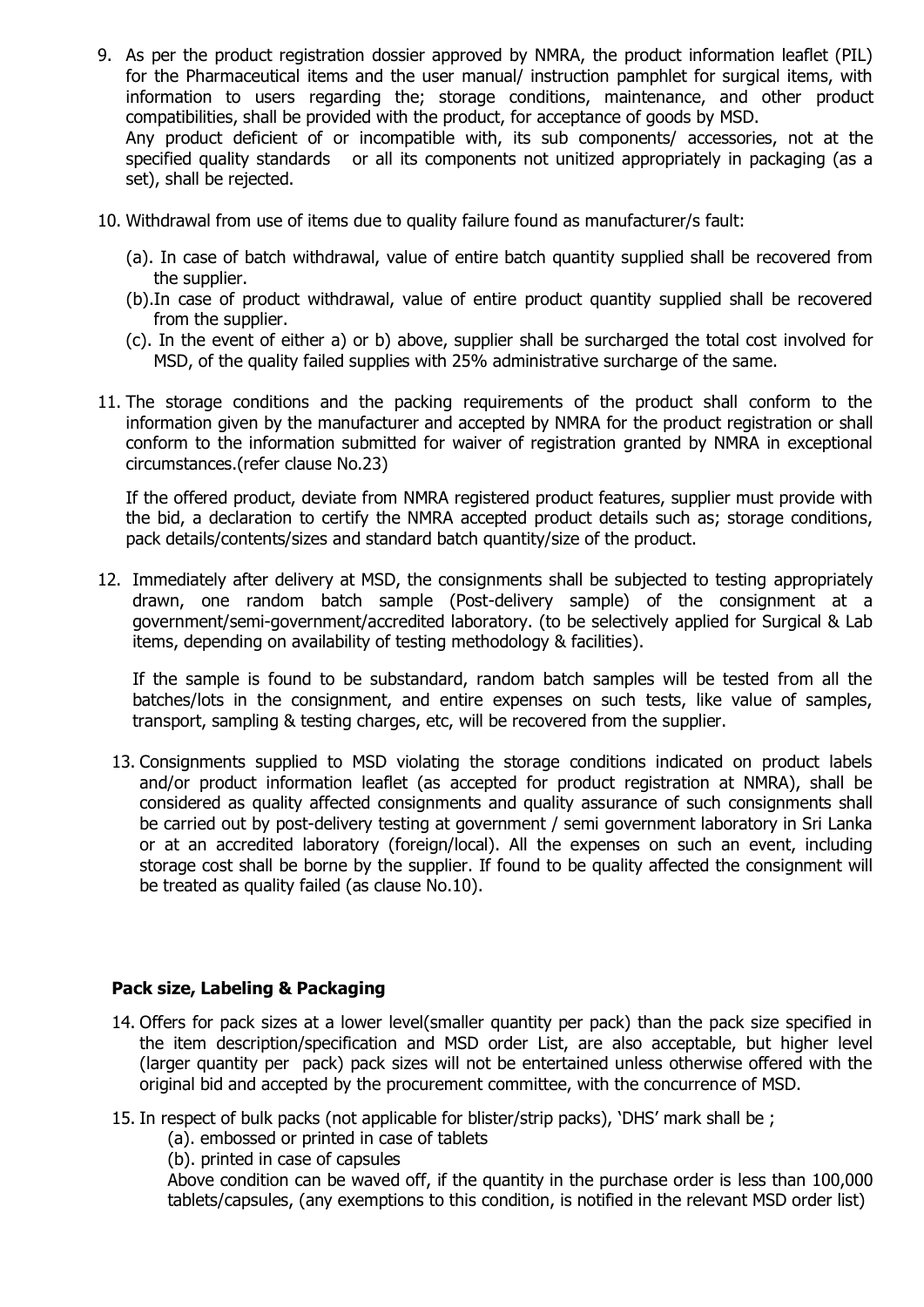- 9. As per the product registration dossier approved by NMRA, the product information leaflet (PIL) for the Pharmaceutical items and the user manual/ instruction pamphlet for surgical items, with information to users regarding the; storage conditions, maintenance, and other product compatibilities, shall be provided with the product, for acceptance of goods by MSD. Any product deficient of or incompatible with, its sub components/ accessories, not at the specified quality standards or all its components not unitized appropriately in packaging (as a set), shall be rejected.
- 10. Withdrawal from use of items due to quality failure found as manufacturer/s fault:
	- (a). In case of batch withdrawal, value of entire batch quantity supplied shall be recovered from the supplier.
	- (b).In case of product withdrawal, value of entire product quantity supplied shall be recovered from the supplier.
	- (c). In the event of either a) or b) above, supplier shall be surcharged the total cost involved for MSD, of the quality failed supplies with 25% administrative surcharge of the same.
- 11. The storage conditions and the packing requirements of the product shall conform to the information given by the manufacturer and accepted by NMRA for the product registration or shall conform to the information submitted for waiver of registration granted by NMRA in exceptional circumstances.(refer clause No.23)

If the offered product, deviate from NMRA registered product features, supplier must provide with the bid, a declaration to certify the NMRA accepted product details such as; storage conditions, pack details/contents/sizes and standard batch quantity/size of the product.

12. Immediately after delivery at MSD, the consignments shall be subjected to testing appropriately drawn, one random batch sample (Post-delivery sample) of the consignment at a government/semi-government/accredited laboratory. (to be selectively applied for Surgical & Lab items, depending on availability of testing methodology & facilities).

If the sample is found to be substandard, random batch samples will be tested from all the batches/lots in the consignment, and entire expenses on such tests, like value of samples, transport, sampling & testing charges, etc, will be recovered from the supplier.

13. Consignments supplied to MSD violating the storage conditions indicated on product labels and/or product information leaflet (as accepted for product registration at NMRA), shall be considered as quality affected consignments and quality assurance of such consignments shall be carried out by post-delivery testing at government / semi government laboratory in Sri Lanka or at an accredited laboratory (foreign/local). All the expenses on such an event, including storage cost shall be borne by the supplier. If found to be quality affected the consignment will be treated as quality failed (as clause No.10).

# **Pack size, Labeling & Packaging**

- 14. Offers for pack sizes at a lower level(smaller quantity per pack) than the pack size specified in the item description/specification and MSD order List, are also acceptable, but higher level (larger quantity per pack) pack sizes will not be entertained unless otherwise offered with the original bid and accepted by the procurement committee, with the concurrence of MSD.
- 15. In respect of bulk packs (not applicable for blister/strip packs), "DHS" mark shall be ;
	- (a). embossed or printed in case of tablets
	- (b). printed in case of capsules

Above condition can be waved off, if the quantity in the purchase order is less than 100,000 tablets/capsules, (any exemptions to this condition, is notified in the relevant MSD order list)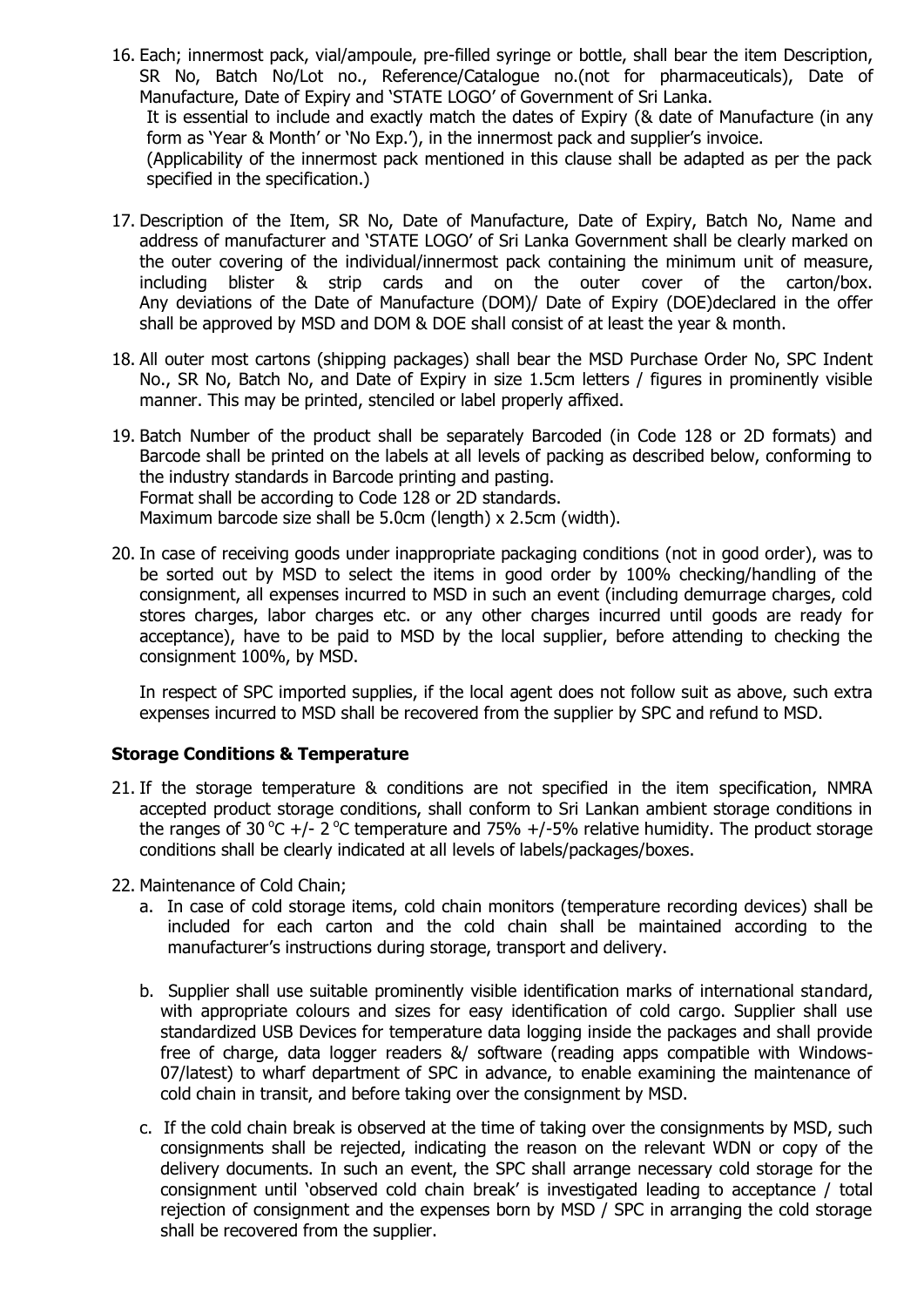- 16. Each; innermost pack, vial/ampoule, pre-filled syringe or bottle, shall bear the item Description, SR No, Batch No/Lot no., Reference/Catalogue no.(not for pharmaceuticals), Date of Manufacture, Date of Expiry and "STATE LOGO" of Government of Sri Lanka. It is essential to include and exactly match the dates of Expiry (& date of Manufacture (in any form as 'Year & Month' or 'No Exp.'), in the innermost pack and supplier's invoice. (Applicability of the innermost pack mentioned in this clause shall be adapted as per the pack specified in the specification.)
- 17. Description of the Item, SR No, Date of Manufacture, Date of Expiry, Batch No, Name and address of manufacturer and "STATE LOGO" of Sri Lanka Government shall be clearly marked on the outer covering of the individual/innermost pack containing the minimum unit of measure, including blister & strip cards and on the outer cover of the carton/box. Any deviations of the Date of Manufacture (DOM)/ Date of Expiry (DOE)declared in the offer shall be approved by MSD and DOM & DOE shall consist of at least the year & month.
- 18. All outer most cartons (shipping packages) shall bear the MSD Purchase Order No, SPC Indent No., SR No, Batch No, and Date of Expiry in size 1.5cm letters / figures in prominently visible manner. This may be printed, stenciled or label properly affixed.
- 19. Batch Number of the product shall be separately Barcoded (in Code 128 or 2D formats) and Barcode shall be printed on the labels at all levels of packing as described below, conforming to the industry standards in Barcode printing and pasting. Format shall be according to Code 128 or 2D standards. Maximum barcode size shall be 5.0cm (length) x 2.5cm (width).
- 20. In case of receiving goods under inappropriate packaging conditions (not in good order), was to be sorted out by MSD to select the items in good order by 100% checking/handling of the consignment, all expenses incurred to MSD in such an event (including demurrage charges, cold stores charges, labor charges etc. or any other charges incurred until goods are ready for acceptance), have to be paid to MSD by the local supplier, before attending to checking the consignment 100%, by MSD.

In respect of SPC imported supplies, if the local agent does not follow suit as above, such extra expenses incurred to MSD shall be recovered from the supplier by SPC and refund to MSD.

#### **Storage Conditions & Temperature**

- 21. If the storage temperature & conditions are not specified in the item specification, NMRA accepted product storage conditions, shall conform to Sri Lankan ambient storage conditions in the ranges of 30 °C +/- 2 °C temperature and 75% +/-5% relative humidity. The product storage conditions shall be clearly indicated at all levels of labels/packages/boxes.
- 22. Maintenance of Cold Chain;
	- a. In case of cold storage items, cold chain monitors (temperature recording devices) shall be included for each carton and the cold chain shall be maintained according to the manufacturer's instructions during storage, transport and delivery.
	- b. Supplier shall use suitable prominently visible identification marks of international standard, with appropriate colours and sizes for easy identification of cold cargo. Supplier shall use standardized USB Devices for temperature data logging inside the packages and shall provide free of charge, data logger readers &/ software (reading apps compatible with Windows-07/latest) to wharf department of SPC in advance, to enable examining the maintenance of cold chain in transit, and before taking over the consignment by MSD.
	- c. If the cold chain break is observed at the time of taking over the consignments by MSD, such consignments shall be rejected, indicating the reason on the relevant WDN or copy of the delivery documents. In such an event, the SPC shall arrange necessary cold storage for the consignment until "observed cold chain break" is investigated leading to acceptance / total rejection of consignment and the expenses born by MSD / SPC in arranging the cold storage shall be recovered from the supplier.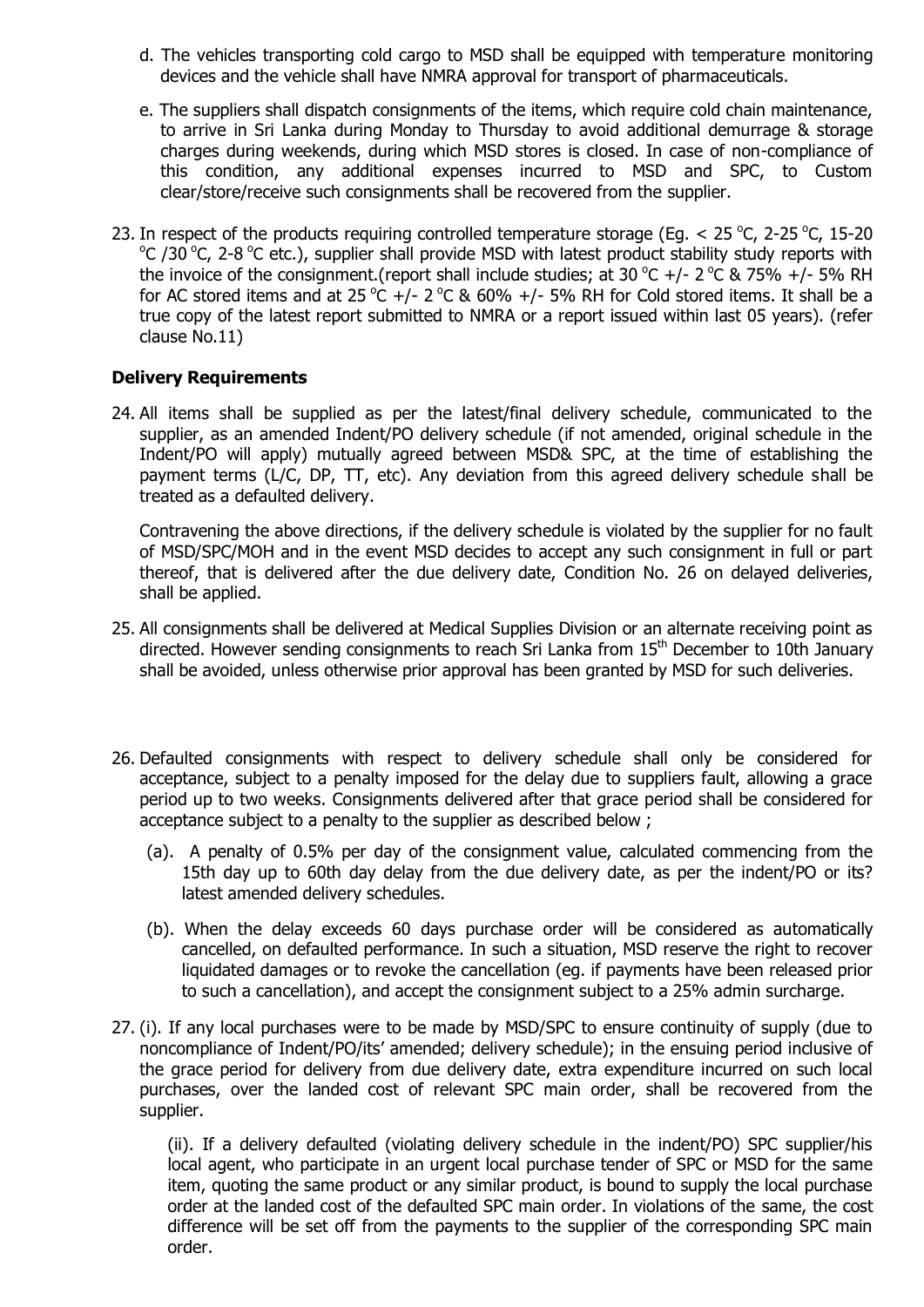- d. The vehicles transporting cold cargo to MSD shall be equipped with temperature monitoring devices and the vehicle shall have NMRA approval for transport of pharmaceuticals.
- e. The suppliers shall dispatch consignments of the items, which require cold chain maintenance, to arrive in Sri Lanka during Monday to Thursday to avoid additional demurrage & storage charges during weekends, during which MSD stores is closed. In case of non-compliance of this condition, any additional expenses incurred to MSD and SPC, to Custom clear/store/receive such consignments shall be recovered from the supplier.
- 23. In respect of the products requiring controlled temperature storage (Eg.  $<$  25 °C, 2-25 °C, 15-20  $\degree$ C /30  $\degree$ C, 2-8  $\degree$ C etc.), supplier shall provide MSD with latest product stability study reports with the invoice of the consignment.(report shall include studies; at 30 °C +/- 2 °C & 75% +/- 5% RH for AC stored items and at 25 °C +/- 2 °C & 60% +/- 5% RH for Cold stored items. It shall be a true copy of the latest report submitted to NMRA or a report issued within last 05 years). (refer clause No.11)

# **Delivery Requirements**

24. All items shall be supplied as per the latest/final delivery schedule, communicated to the supplier, as an amended Indent/PO delivery schedule (if not amended, original schedule in the Indent/PO will apply) mutually agreed between MSD& SPC, at the time of establishing the payment terms (L/C, DP, TT, etc). Any deviation from this agreed delivery schedule shall be treated as a defaulted delivery.

Contravening the above directions, if the delivery schedule is violated by the supplier for no fault of MSD/SPC/MOH and in the event MSD decides to accept any such consignment in full or part thereof, that is delivered after the due delivery date, Condition No. 26 on delayed deliveries, shall be applied.

- 25. All consignments shall be delivered at Medical Supplies Division or an alternate receiving point as directed. However sending consignments to reach Sri Lanka from 15<sup>th</sup> December to 10th January shall be avoided, unless otherwise prior approval has been granted by MSD for such deliveries.
- 26. Defaulted consignments with respect to delivery schedule shall only be considered for acceptance, subject to a penalty imposed for the delay due to suppliers fault, allowing a grace period up to two weeks. Consignments delivered after that grace period shall be considered for acceptance subject to a penalty to the supplier as described below ;
	- (a). A penalty of 0.5% per day of the consignment value, calculated commencing from the 15th day up to 60th day delay from the due delivery date, as per the indent/PO or its? latest amended delivery schedules.
	- (b). When the delay exceeds 60 days purchase order will be considered as automatically cancelled, on defaulted performance. In such a situation, MSD reserve the right to recover liquidated damages or to revoke the cancellation (eg. if payments have been released prior to such a cancellation), and accept the consignment subject to a 25% admin surcharge.
- 27. (i). If any local purchases were to be made by MSD/SPC to ensure continuity of supply (due to noncompliance of Indent/PO/its" amended; delivery schedule); in the ensuing period inclusive of the grace period for delivery from due delivery date, extra expenditure incurred on such local purchases, over the landed cost of relevant SPC main order, shall be recovered from the supplier.

(ii). If a delivery defaulted (violating delivery schedule in the indent/PO) SPC supplier/his local agent, who participate in an urgent local purchase tender of SPC or MSD for the same item, quoting the same product or any similar product, is bound to supply the local purchase order at the landed cost of the defaulted SPC main order. In violations of the same, the cost difference will be set off from the payments to the supplier of the corresponding SPC main order.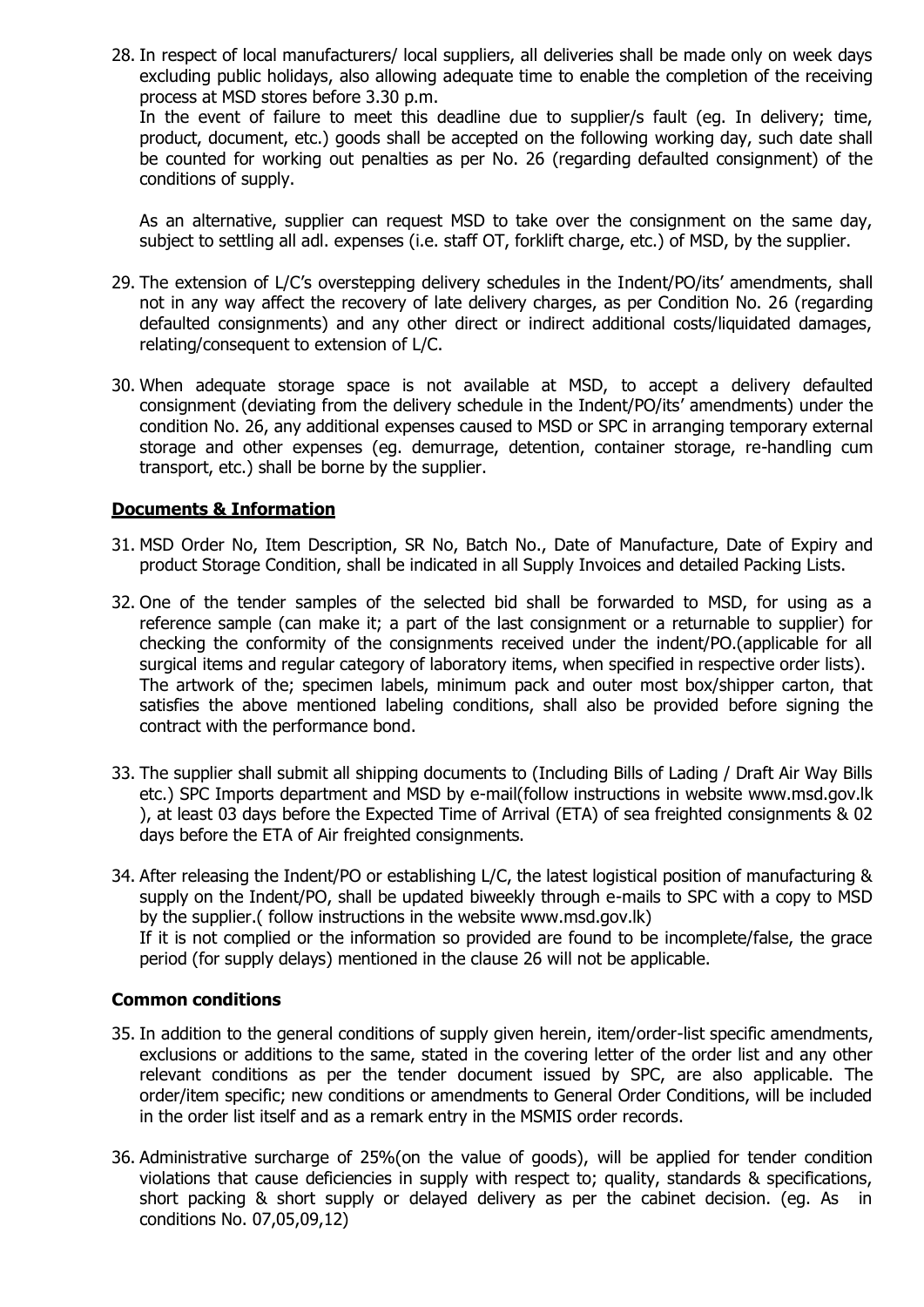28. In respect of local manufacturers/ local suppliers, all deliveries shall be made only on week days excluding public holidays, also allowing adequate time to enable the completion of the receiving process at MSD stores before 3.30 p.m.

In the event of failure to meet this deadline due to supplier/s fault (eg. In delivery; time, product, document, etc.) goods shall be accepted on the following working day, such date shall be counted for working out penalties as per No. 26 (regarding defaulted consignment) of the conditions of supply.

As an alternative, supplier can request MSD to take over the consignment on the same day, subject to settling all adl. expenses (i.e. staff OT, forklift charge, etc.) of MSD, by the supplier.

- 29. The extension of L/C"s overstepping delivery schedules in the Indent/PO/its" amendments, shall not in any way affect the recovery of late delivery charges, as per Condition No. 26 (regarding defaulted consignments) and any other direct or indirect additional costs/liquidated damages, relating/consequent to extension of L/C.
- 30. When adequate storage space is not available at MSD, to accept a delivery defaulted consignment (deviating from the delivery schedule in the Indent/PO/its' amendments) under the condition No. 26, any additional expenses caused to MSD or SPC in arranging temporary external storage and other expenses (eg. demurrage, detention, container storage, re-handling cum transport, etc.) shall be borne by the supplier.

# **Documents & Information**

- 31. MSD Order No, Item Description, SR No, Batch No., Date of Manufacture, Date of Expiry and product Storage Condition, shall be indicated in all Supply Invoices and detailed Packing Lists.
- 32. One of the tender samples of the selected bid shall be forwarded to MSD, for using as a reference sample (can make it; a part of the last consignment or a returnable to supplier) for checking the conformity of the consignments received under the indent/PO.(applicable for all surgical items and regular category of laboratory items, when specified in respective order lists). The artwork of the; specimen labels, minimum pack and outer most box/shipper carton, that satisfies the above mentioned labeling conditions, shall also be provided before signing the contract with the performance bond.
- 33. The supplier shall submit all shipping documents to (Including Bills of Lading / Draft Air Way Bills etc.) SPC Imports department and MSD by e-mail(follow instructions in website www.msd.gov.lk ), at least 03 days before the Expected Time of Arrival (ETA) of sea freighted consignments & 02 days before the ETA of Air freighted consignments.
- 34. After releasing the Indent/PO or establishing L/C, the latest logistical position of manufacturing & supply on the Indent/PO, shall be updated biweekly through e-mails to SPC with a copy to MSD by the supplier.( follow instructions in the website www.msd.gov.lk) If it is not complied or the information so provided are found to be incomplete/false, the grace period (for supply delays) mentioned in the clause 26 will not be applicable.

#### **Common conditions**

- 35. In addition to the general conditions of supply given herein, item/order-list specific amendments, exclusions or additions to the same, stated in the covering letter of the order list and any other relevant conditions as per the tender document issued by SPC, are also applicable. The order/item specific; new conditions or amendments to General Order Conditions, will be included in the order list itself and as a remark entry in the MSMIS order records.
- 36. Administrative surcharge of 25%(on the value of goods), will be applied for tender condition violations that cause deficiencies in supply with respect to; quality, standards & specifications, short packing & short supply or delayed delivery as per the cabinet decision. (eg. As in conditions No. 07,05,09,12)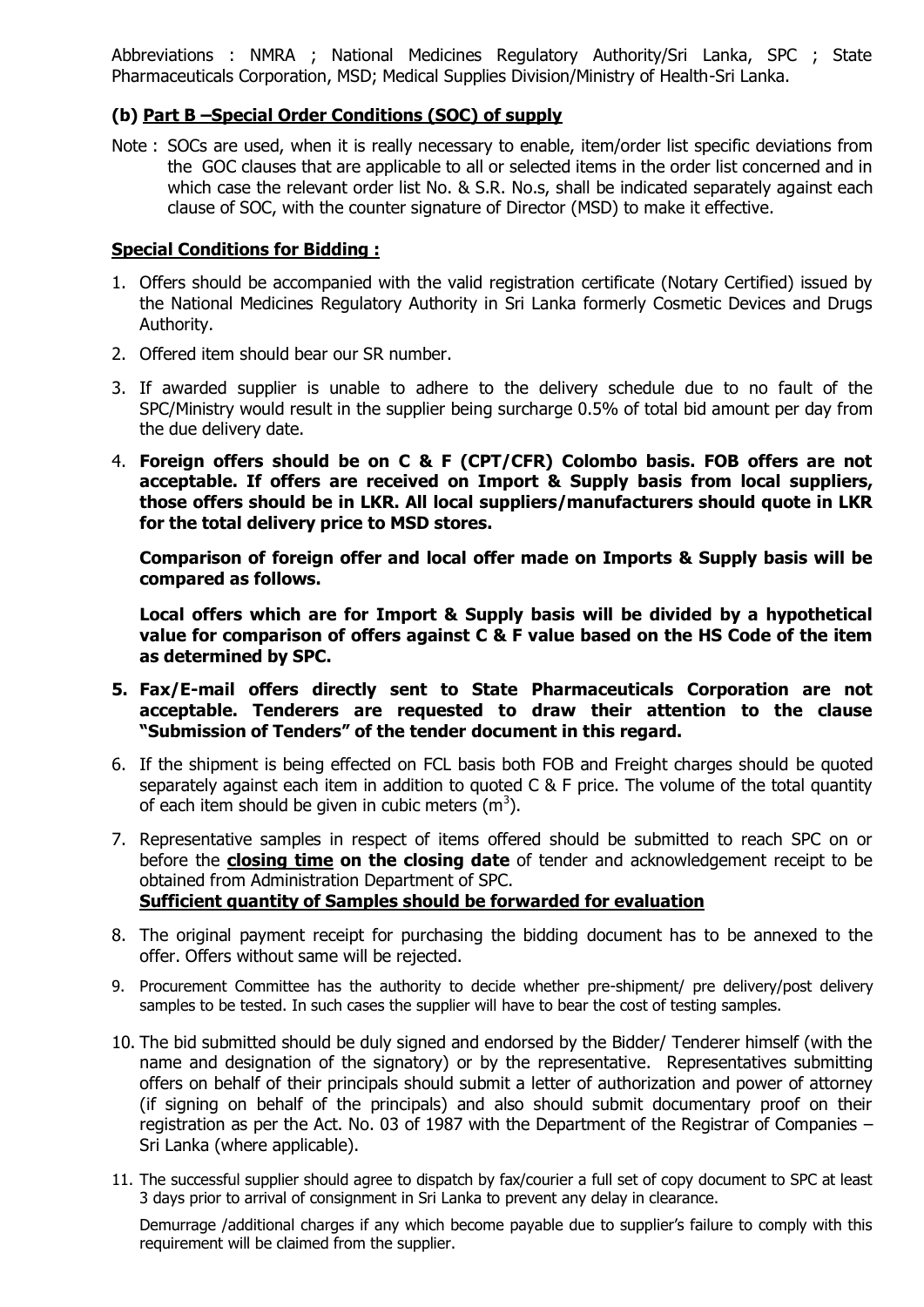Abbreviations : NMRA ; National Medicines Regulatory Authority/Sri Lanka, SPC ; State Pharmaceuticals Corporation, MSD; Medical Supplies Division/Ministry of Health-Sri Lanka.

# **(b) Part B –Special Order Conditions (SOC) of supply**

Note : SOCs are used, when it is really necessary to enable, item/order list specific deviations from the GOC clauses that are applicable to all or selected items in the order list concerned and in which case the relevant order list No. & S.R. No.s, shall be indicated separately against each clause of SOC, with the counter signature of Director (MSD) to make it effective.

# **Special Conditions for Bidding :**

- 1. Offers should be accompanied with the valid registration certificate (Notary Certified) issued by the National Medicines Regulatory Authority in Sri Lanka formerly Cosmetic Devices and Drugs Authority.
- 2. Offered item should bear our SR number.
- 3. If awarded supplier is unable to adhere to the delivery schedule due to no fault of the SPC/Ministry would result in the supplier being surcharge 0.5% of total bid amount per day from the due delivery date.
- 4. **Foreign offers should be on C & F (CPT/CFR) Colombo basis. FOB offers are not acceptable. If offers are received on Import & Supply basis from local suppliers, those offers should be in LKR. All local suppliers/manufacturers should quote in LKR for the total delivery price to MSD stores.**

**Comparison of foreign offer and local offer made on Imports & Supply basis will be compared as follows.**

**Local offers which are for Import & Supply basis will be divided by a hypothetical value for comparison of offers against C & F value based on the HS Code of the item as determined by SPC.**

- **5. Fax/E-mail offers directly sent to State Pharmaceuticals Corporation are not acceptable. Tenderers are requested to draw their attention to the clause "Submission of Tenders" of the tender document in this regard.**
- 6. If the shipment is being effected on FCL basis both FOB and Freight charges should be quoted separately against each item in addition to quoted C & F price. The volume of the total quantity of each item should be given in cubic meters  $(m^3)$ .
- 7. Representative samples in respect of items offered should be submitted to reach SPC on or before the **closing time on the closing date** of tender and acknowledgement receipt to be obtained from Administration Department of SPC. **Sufficient quantity of Samples should be forwarded for evaluation**
- 8. The original payment receipt for purchasing the bidding document has to be annexed to the offer. Offers without same will be rejected.
- 9. Procurement Committee has the authority to decide whether pre-shipment/ pre delivery/post delivery samples to be tested. In such cases the supplier will have to bear the cost of testing samples.
- 10. The bid submitted should be duly signed and endorsed by the Bidder/ Tenderer himself (with the name and designation of the signatory) or by the representative. Representatives submitting offers on behalf of their principals should submit a letter of authorization and power of attorney (if signing on behalf of the principals) and also should submit documentary proof on their registration as per the Act. No. 03 of 1987 with the Department of the Registrar of Companies – Sri Lanka (where applicable).
- 11. The successful supplier should agree to dispatch by fax/courier a full set of copy document to SPC at least 3 days prior to arrival of consignment in Sri Lanka to prevent any delay in clearance.

Demurrage /additional charges if any which become payable due to supplier's failure to comply with this requirement will be claimed from the supplier.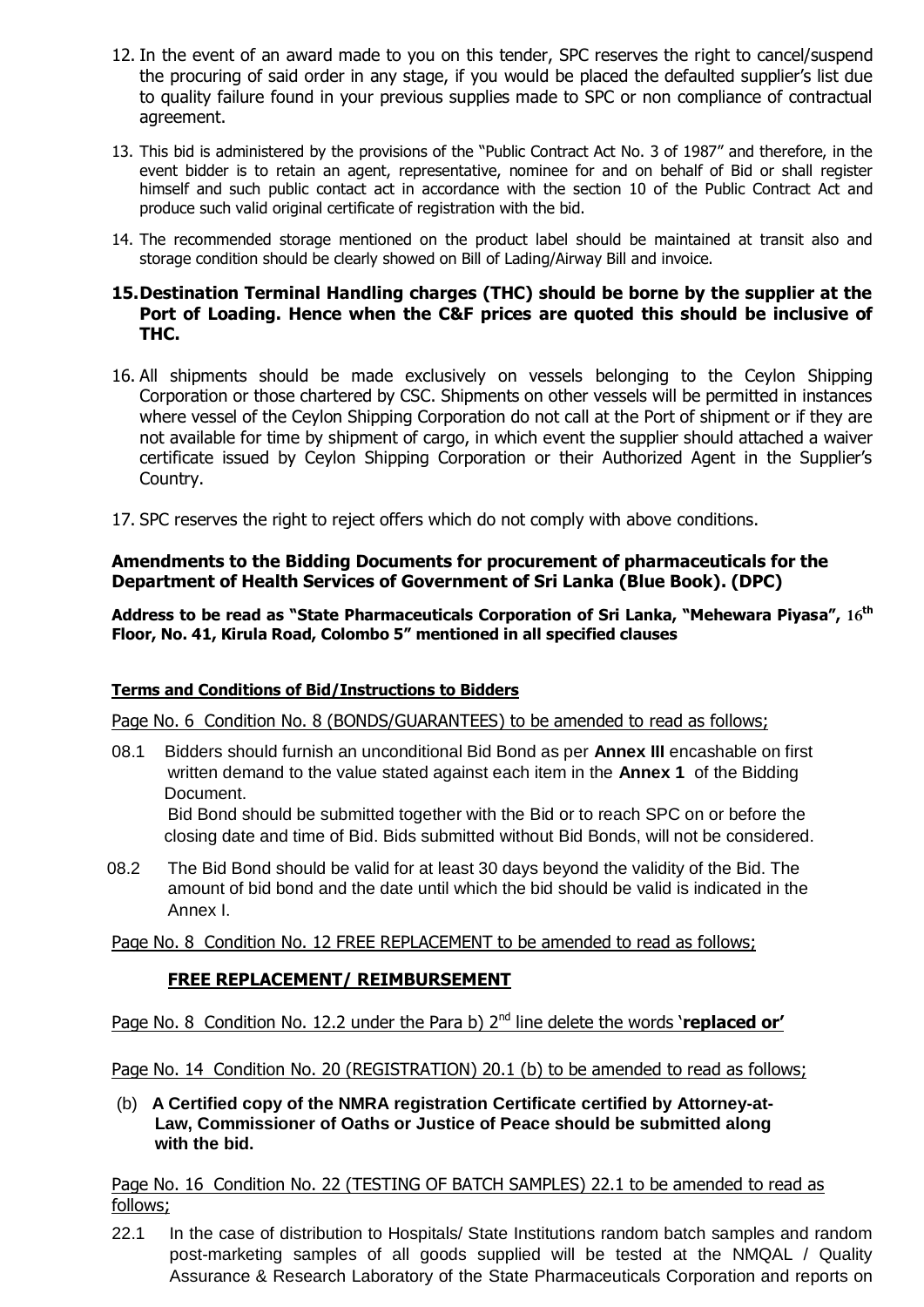- 12. In the event of an award made to you on this tender, SPC reserves the right to cancel/suspend the procuring of said order in any stage, if you would be placed the defaulted supplier"s list due to quality failure found in your previous supplies made to SPC or non compliance of contractual agreement.
- 13. This bid is administered by the provisions of the "Public Contract Act No. 3 of 1987" and therefore, in the event bidder is to retain an agent, representative, nominee for and on behalf of Bid or shall register himself and such public contact act in accordance with the section 10 of the Public Contract Act and produce such valid original certificate of registration with the bid.
- 14. The recommended storage mentioned on the product label should be maintained at transit also and storage condition should be clearly showed on Bill of Lading/Airway Bill and invoice.

# **15.Destination Terminal Handling charges (THC) should be borne by the supplier at the Port of Loading. Hence when the C&F prices are quoted this should be inclusive of THC.**

- 16. All shipments should be made exclusively on vessels belonging to the Ceylon Shipping Corporation or those chartered by CSC. Shipments on other vessels will be permitted in instances where vessel of the Ceylon Shipping Corporation do not call at the Port of shipment or if they are not available for time by shipment of cargo, in which event the supplier should attached a waiver certificate issued by Ceylon Shipping Corporation or their Authorized Agent in the Supplier"s Country.
- 17. SPC reserves the right to reject offers which do not comply with above conditions.

# **Amendments to the Bidding Documents for procurement of pharmaceuticals for the Department of Health Services of Government of Sri Lanka (Blue Book). (DPC)**

**Address to be read as "State Pharmaceuticals Corporation of Sri Lanka, "Mehewara Piyasa", 16th Floor, No. 41, Kirula Road, Colombo 5" mentioned in all specified clauses**

#### **Terms and Conditions of Bid/Instructions to Bidders**

Page No. 6 Condition No. 8 (BONDS/GUARANTEES) to be amended to read as follows;

08.1 Bidders should furnish an unconditional Bid Bond as per **Annex III** encashable on first written demand to the value stated against each item in the **Annex 1** of the Bidding Document.

Bid Bond should be submitted together with the Bid or to reach SPC on or before the closing date and time of Bid. Bids submitted without Bid Bonds, will not be considered.

08.2 The Bid Bond should be valid for at least 30 days beyond the validity of the Bid. The amount of bid bond and the date until which the bid should be valid is indicated in the Annex I.

Page No. 8 Condition No. 12 FREE REPLACEMENT to be amended to read as follows;

#### **FREE REPLACEMENT/ REIMBURSEMENT**

Page No. 8 Condition No. 12.2 under the Para b) 2<sup>nd</sup> line delete the words 'replaced or'

Page No. 14 Condition No. 20 (REGISTRATION) 20.1 (b) to be amended to read as follows;

(b) **A Certified copy of the NMRA registration Certificate certified by Attorney-at- Law, Commissioner of Oaths or Justice of Peace should be submitted along with the bid.**

Page No. 16 Condition No. 22 (TESTING OF BATCH SAMPLES) 22.1 to be amended to read as follows;

22.1 In the case of distribution to Hospitals/ State Institutions random batch samples and random post-marketing samples of all goods supplied will be tested at the NMQAL / Quality Assurance & Research Laboratory of the State Pharmaceuticals Corporation and reports on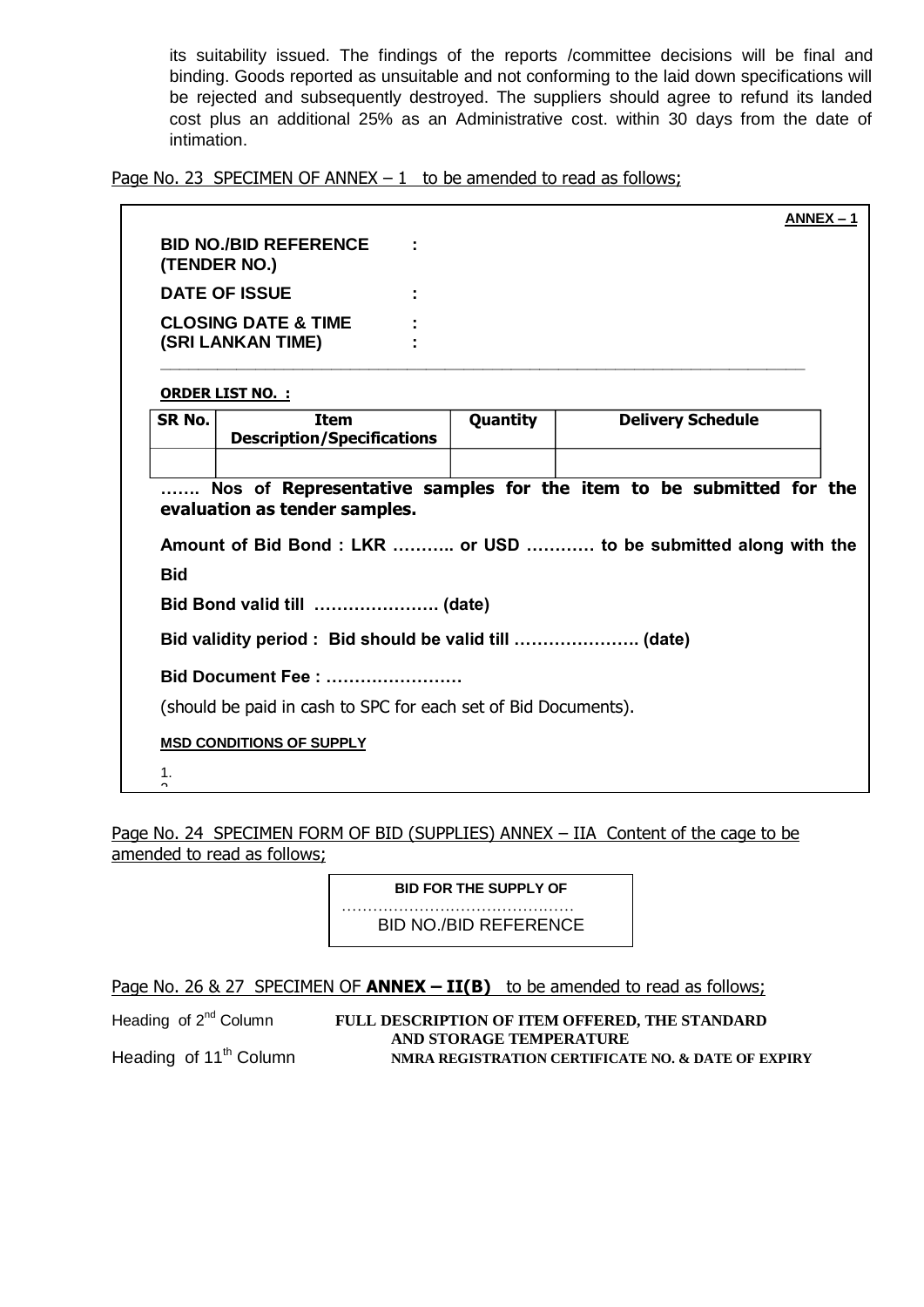its suitability issued. The findings of the reports /committee decisions will be final and binding. Goods reported as unsuitable and not conforming to the laid down specifications will be rejected and subsequently destroyed. The suppliers should agree to refund its landed cost plus an additional 25% as an Administrative cost. within 30 days from the date of intimation.

Page No. 23 SPECIMEN OF ANNEX  $-1$  to be amended to read as follows;

|                    |                                                                                                                                                                        |          | <u>ANNEX - 1</u>         |  |  |  |  |
|--------------------|------------------------------------------------------------------------------------------------------------------------------------------------------------------------|----------|--------------------------|--|--|--|--|
|                    | <b>BID NO./BID REFERENCE</b><br>(TENDER NO.)                                                                                                                           |          |                          |  |  |  |  |
|                    | <b>DATE OF ISSUE</b>                                                                                                                                                   |          |                          |  |  |  |  |
|                    | <b>CLOSING DATE &amp; TIME</b><br>(SRI LANKAN TIME)                                                                                                                    |          |                          |  |  |  |  |
|                    | <b>ORDER LIST NO.:</b>                                                                                                                                                 |          |                          |  |  |  |  |
| SR No.             | <b>Item</b><br><b>Description/Specifications</b>                                                                                                                       | Quantity | <b>Delivery Schedule</b> |  |  |  |  |
|                    | Nos of Representative samples for the item to be submitted for the<br>evaluation as tender samples.<br>Amount of Bid Bond: LKR  or USD  to be submitted along with the |          |                          |  |  |  |  |
| <b>Bid</b>         |                                                                                                                                                                        |          |                          |  |  |  |  |
|                    | Bid Bond valid till  (date)                                                                                                                                            |          |                          |  |  |  |  |
|                    |                                                                                                                                                                        |          |                          |  |  |  |  |
|                    | Bid Document Fee:                                                                                                                                                      |          |                          |  |  |  |  |
|                    | (should be paid in cash to SPC for each set of Bid Documents).                                                                                                         |          |                          |  |  |  |  |
|                    | <b>MSD CONDITIONS OF SUPPLY</b>                                                                                                                                        |          |                          |  |  |  |  |
| 1.<br><sup>o</sup> |                                                                                                                                                                        |          |                          |  |  |  |  |

Page No. 24 SPECIMEN FORM OF BID (SUPPLIES) ANNEX – IIA Content of the cage to be amended to read as follows;

> **BID FOR THE SUPPLY OF** ………………………………………

BID NO./BID REFERENCE

Page No. 26 & 27 SPECIMEN OF **ANNEX – II(B)** to be amended to read as follows;

# Heading of 2<sup>nd</sup> Column **FULL DESCRIPTION OF ITEM OFFERED, THE STANDARD AND STORAGE TEMPERATURE** Heading of 11<sup>th</sup> Column **NMRA REGISTRATION CERTIFICATE NO. & DATE OF EXPIRY**